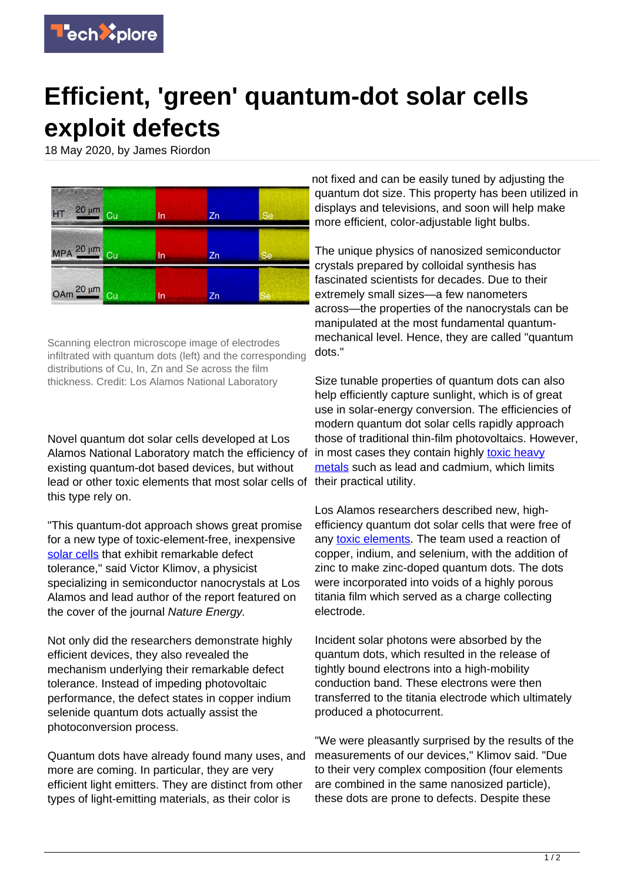

## **Efficient, 'green' quantum-dot solar cells exploit defects**

18 May 2020, by James Riordon

| HT 20 um Cu | In | Zn | <b>Se</b> |
|-------------|----|----|-----------|
| MPA 20 µm   | In | Zn | <b>Se</b> |
| OAm 20 um   | In | Zn |           |

Scanning electron microscope image of electrodes infiltrated with quantum dots (left) and the corresponding distributions of Cu, In, Zn and Se across the film thickness. Credit: Los Alamos National Laboratory

Novel quantum dot solar cells developed at Los Alamos National Laboratory match the efficiency of existing quantum-dot based devices, but without lead or other toxic elements that most solar cells of this type rely on.

"This quantum-dot approach shows great promise for a new type of toxic-element-free, inexpensive [solar cells](https://techxplore.com/tags/solar+cells/) that exhibit remarkable defect tolerance," said Victor Klimov, a physicist specializing in semiconductor nanocrystals at Los Alamos and lead author of the report featured on the cover of the journal Nature Energy.

Not only did the researchers demonstrate highly efficient devices, they also revealed the mechanism underlying their remarkable defect tolerance. Instead of impeding photovoltaic performance, the defect states in copper indium selenide quantum dots actually assist the photoconversion process.

Quantum dots have already found many uses, and more are coming. In particular, they are very efficient light emitters. They are distinct from other types of light-emitting materials, as their color is

not fixed and can be easily tuned by adjusting the quantum dot size. This property has been utilized in displays and televisions, and soon will help make more efficient, color-adjustable light bulbs.

The unique physics of nanosized semiconductor crystals prepared by colloidal synthesis has fascinated scientists for decades. Due to their extremely small sizes—a few nanometers across—the properties of the nanocrystals can be manipulated at the most fundamental quantummechanical level. Hence, they are called "quantum dots."

Size tunable properties of quantum dots can also help efficiently capture sunlight, which is of great use in solar-energy conversion. The efficiencies of modern quantum dot solar cells rapidly approach those of traditional thin-film photovoltaics. However, in most cases they contain highly [toxic heavy](https://techxplore.com/tags/toxic+heavy+metals/) [metals](https://techxplore.com/tags/toxic+heavy+metals/) such as lead and cadmium, which limits their practical utility.

Los Alamos researchers described new, highefficiency quantum dot solar cells that were free of any [toxic elements.](https://techxplore.com/tags/toxic+elements/) The team used a reaction of copper, indium, and selenium, with the addition of zinc to make zinc-doped quantum dots. The dots were incorporated into voids of a highly porous titania film which served as a charge collecting electrode.

Incident solar photons were absorbed by the quantum dots, which resulted in the release of tightly bound electrons into a high-mobility conduction band. These electrons were then transferred to the titania electrode which ultimately produced a photocurrent.

"We were pleasantly surprised by the results of the measurements of our devices," Klimov said. "Due to their very complex composition (four elements are combined in the same nanosized particle), these dots are prone to defects. Despite these